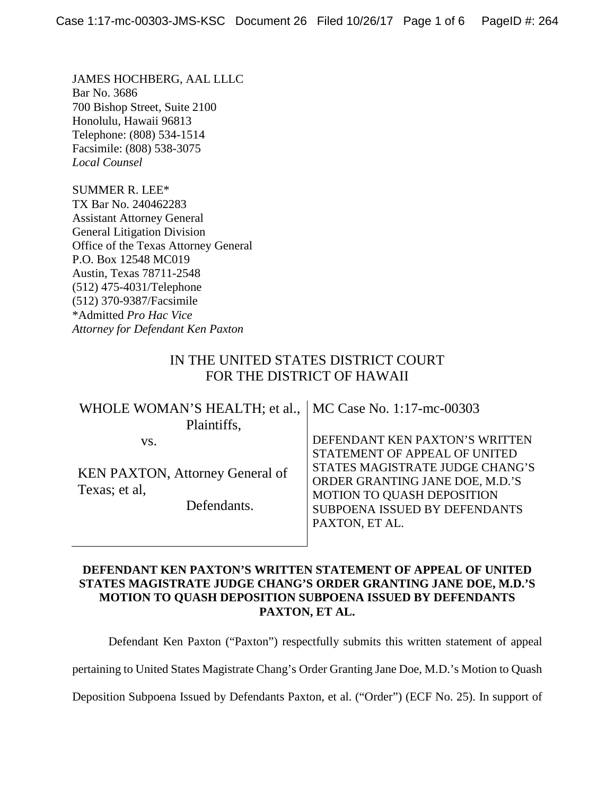JAMES HOCHBERG, AAL LLLC Bar No. 3686 700 Bishop Street, Suite 2100 Honolulu, Hawaii 96813 Telephone: (808) 534-1514 Facsimile: (808) 538-3075 *Local Counsel*

SUMMER R. LEE\* TX Bar No. 240462283 Assistant Attorney General General Litigation Division Office of the Texas Attorney General P.O. Box 12548 MC019 Austin, Texas 78711-2548 (512) 475-4031/Telephone (512) 370-9387/Facsimile \*Admitted *Pro Hac Vice Attorney for Defendant Ken Paxton*

## IN THE UNITED STATES DISTRICT COURT FOR THE DISTRICT OF HAWAII

| WHOLE WOMAN'S HEALTH; et al.,   MC Case No. 1:17-mc-00303                     |                                                                                                                                                                                                                        |
|-------------------------------------------------------------------------------|------------------------------------------------------------------------------------------------------------------------------------------------------------------------------------------------------------------------|
| Plaintiffs,                                                                   |                                                                                                                                                                                                                        |
| VS.<br><b>KEN PAXTON, Attorney General of</b><br>Texas; et al,<br>Defendants. | DEFENDANT KEN PAXTON'S WRITTEN<br>STATEMENT OF APPEAL OF UNITED<br>STATES MAGISTRATE JUDGE CHANG'S<br>ORDER GRANTING JANE DOE, M.D.'S<br>MOTION TO QUASH DEPOSITION<br>SUBPOENA ISSUED BY DEFENDANTS<br>PAXTON, ET AL. |
|                                                                               |                                                                                                                                                                                                                        |

### **DEFENDANT KEN PAXTON'S WRITTEN STATEMENT OF APPEAL OF UNITED STATES MAGISTRATE JUDGE CHANG'S ORDER GRANTING JANE DOE, M.D.'S MOTION TO QUASH DEPOSITION SUBPOENA ISSUED BY DEFENDANTS PAXTON, ET AL.**

Defendant Ken Paxton ("Paxton") respectfully submits this written statement of appeal

pertaining to United States Magistrate Chang's Order Granting Jane Doe, M.D.'s Motion to Quash

Deposition Subpoena Issued by Defendants Paxton, et al. ("Order") (ECF No. 25). In support of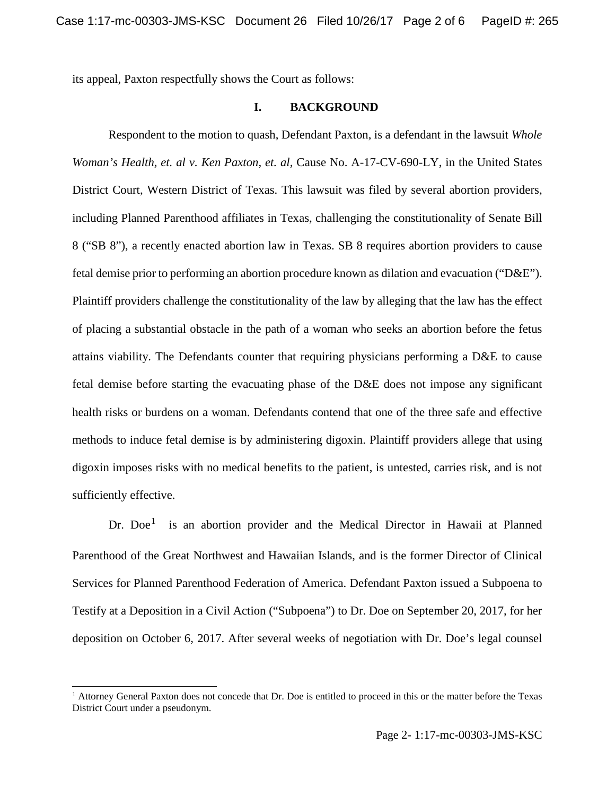its appeal, Paxton respectfully shows the Court as follows:

### **I. BACKGROUND**

Respondent to the motion to quash, Defendant Paxton, is a defendant in the lawsuit *Whole Woman's Health, et. al v. Ken Paxton, et. al,* Cause No. A-17-CV-690-LY, in the United States District Court, Western District of Texas. This lawsuit was filed by several abortion providers, including Planned Parenthood affiliates in Texas, challenging the constitutionality of Senate Bill 8 ("SB 8"), a recently enacted abortion law in Texas. SB 8 requires abortion providers to cause fetal demise prior to performing an abortion procedure known as dilation and evacuation ("D&E"). Plaintiff providers challenge the constitutionality of the law by alleging that the law has the effect of placing a substantial obstacle in the path of a woman who seeks an abortion before the fetus attains viability. The Defendants counter that requiring physicians performing a D&E to cause fetal demise before starting the evacuating phase of the D&E does not impose any significant health risks or burdens on a woman. Defendants contend that one of the three safe and effective methods to induce fetal demise is by administering digoxin. Plaintiff providers allege that using digoxin imposes risks with no medical benefits to the patient, is untested, carries risk, and is not sufficiently effective.

Dr. Doe<sup>[1](#page-1-0)</sup> is an abortion provider and the Medical Director in Hawaii at Planned Parenthood of the Great Northwest and Hawaiian Islands, and is the former Director of Clinical Services for Planned Parenthood Federation of America. Defendant Paxton issued a Subpoena to Testify at a Deposition in a Civil Action ("Subpoena") to Dr. Doe on September 20, 2017, for her deposition on October 6, 2017. After several weeks of negotiation with Dr. Doe's legal counsel

<span id="page-1-0"></span><sup>&</sup>lt;sup>1</sup> Attorney General Paxton does not concede that Dr. Doe is entitled to proceed in this or the matter before the Texas District Court under a pseudonym.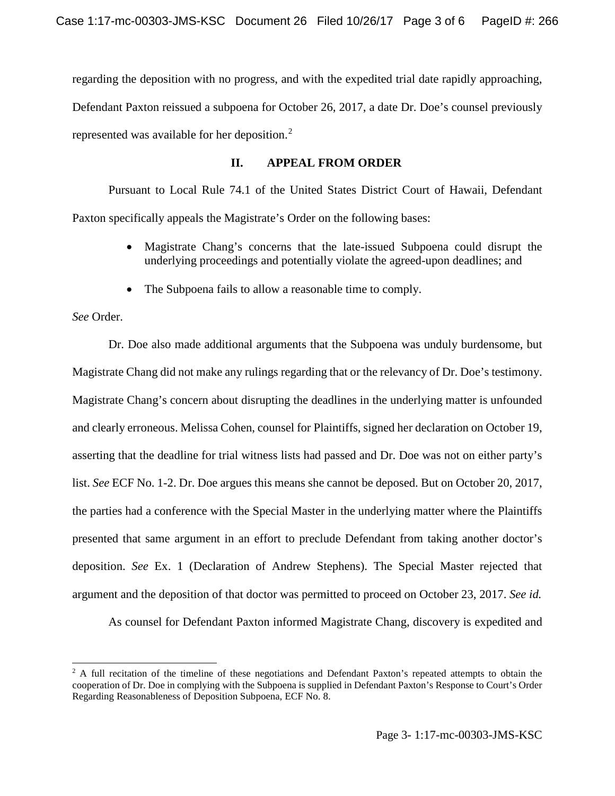regarding the deposition with no progress, and with the expedited trial date rapidly approaching, Defendant Paxton reissued a subpoena for October 26, 2017, a date Dr. Doe's counsel previously represented was available for her deposition.<sup>[2](#page-2-0)</sup>

### **II. APPEAL FROM ORDER**

Pursuant to Local Rule 74.1 of the United States District Court of Hawaii, Defendant Paxton specifically appeals the Magistrate's Order on the following bases:

- Magistrate Chang's concerns that the late-issued Subpoena could disrupt the underlying proceedings and potentially violate the agreed-upon deadlines; and
- The Subpoena fails to allow a reasonable time to comply.

*See* Order.

Dr. Doe also made additional arguments that the Subpoena was unduly burdensome, but Magistrate Chang did not make any rulings regarding that or the relevancy of Dr. Doe's testimony. Magistrate Chang's concern about disrupting the deadlines in the underlying matter is unfounded and clearly erroneous. Melissa Cohen, counsel for Plaintiffs, signed her declaration on October 19, asserting that the deadline for trial witness lists had passed and Dr. Doe was not on either party's list. *See* ECF No. 1-2. Dr. Doe argues this means she cannot be deposed. But on October 20, 2017, the parties had a conference with the Special Master in the underlying matter where the Plaintiffs presented that same argument in an effort to preclude Defendant from taking another doctor's deposition. *See* Ex. 1 (Declaration of Andrew Stephens). The Special Master rejected that argument and the deposition of that doctor was permitted to proceed on October 23, 2017. *See id.*

As counsel for Defendant Paxton informed Magistrate Chang, discovery is expedited and

<span id="page-2-0"></span><sup>&</sup>lt;sup>2</sup> A full recitation of the timeline of these negotiations and Defendant Paxton's repeated attempts to obtain the cooperation of Dr. Doe in complying with the Subpoena is supplied in Defendant Paxton's Response to Court's Order Regarding Reasonableness of Deposition Subpoena, ECF No. 8.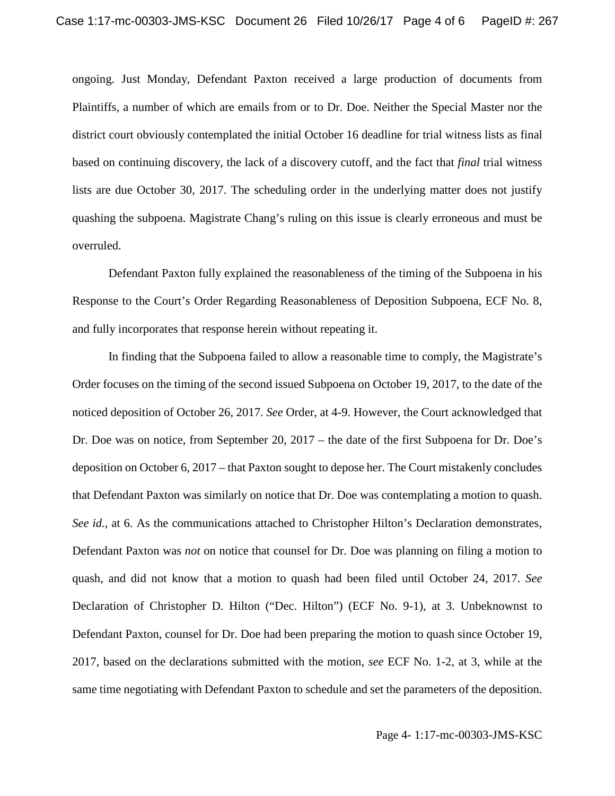ongoing. Just Monday, Defendant Paxton received a large production of documents from Plaintiffs, a number of which are emails from or to Dr. Doe. Neither the Special Master nor the district court obviously contemplated the initial October 16 deadline for trial witness lists as final based on continuing discovery, the lack of a discovery cutoff, and the fact that *final* trial witness lists are due October 30, 2017. The scheduling order in the underlying matter does not justify quashing the subpoena. Magistrate Chang's ruling on this issue is clearly erroneous and must be overruled.

Defendant Paxton fully explained the reasonableness of the timing of the Subpoena in his Response to the Court's Order Regarding Reasonableness of Deposition Subpoena, ECF No. 8, and fully incorporates that response herein without repeating it.

In finding that the Subpoena failed to allow a reasonable time to comply, the Magistrate's Order focuses on the timing of the second issued Subpoena on October 19, 2017, to the date of the noticed deposition of October 26, 2017. *See* Order, at 4-9. However, the Court acknowledged that Dr. Doe was on notice, from September 20, 2017 – the date of the first Subpoena for Dr. Doe's deposition on October 6, 2017 – that Paxton sought to depose her. The Court mistakenly concludes that Defendant Paxton was similarly on notice that Dr. Doe was contemplating a motion to quash. *See id.*, at 6. As the communications attached to Christopher Hilton's Declaration demonstrates, Defendant Paxton was *not* on notice that counsel for Dr. Doe was planning on filing a motion to quash, and did not know that a motion to quash had been filed until October 24, 2017. *See*  Declaration of Christopher D. Hilton ("Dec. Hilton") (ECF No. 9-1), at 3. Unbeknownst to Defendant Paxton, counsel for Dr. Doe had been preparing the motion to quash since October 19, 2017, based on the declarations submitted with the motion, *see* ECF No. 1-2, at 3, while at the same time negotiating with Defendant Paxton to schedule and set the parameters of the deposition.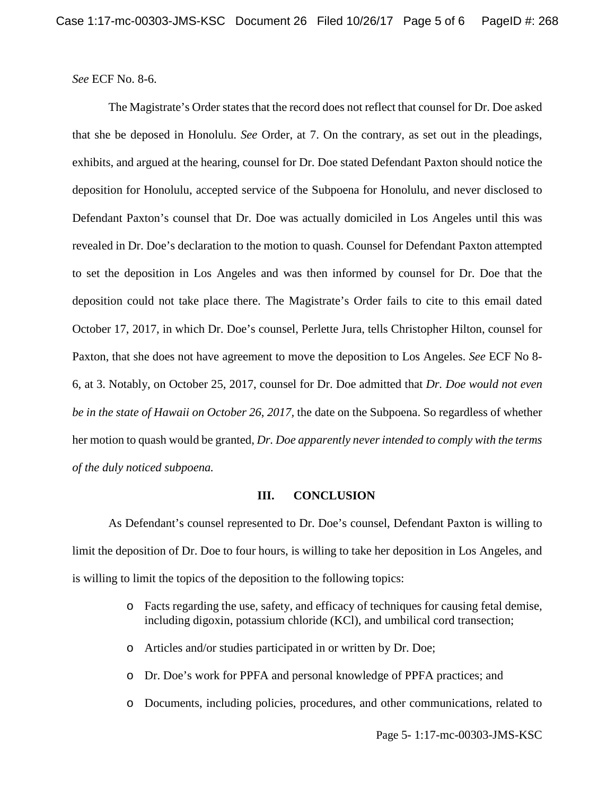*See* ECF No. 8-6.

The Magistrate's Order states that the record does not reflect that counsel for Dr. Doe asked that she be deposed in Honolulu. *See* Order, at 7. On the contrary, as set out in the pleadings, exhibits, and argued at the hearing, counsel for Dr. Doe stated Defendant Paxton should notice the deposition for Honolulu, accepted service of the Subpoena for Honolulu, and never disclosed to Defendant Paxton's counsel that Dr. Doe was actually domiciled in Los Angeles until this was revealed in Dr. Doe's declaration to the motion to quash. Counsel for Defendant Paxton attempted to set the deposition in Los Angeles and was then informed by counsel for Dr. Doe that the deposition could not take place there. The Magistrate's Order fails to cite to this email dated October 17, 2017, in which Dr. Doe's counsel, Perlette Jura, tells Christopher Hilton, counsel for Paxton, that she does not have agreement to move the deposition to Los Angeles. *See* ECF No 8- 6, at 3. Notably, on October 25, 2017, counsel for Dr. Doe admitted that *Dr. Doe would not even be in the state of Hawaii on October 26*, *2017,* the date on the Subpoena. So regardless of whether her motion to quash would be granted, *Dr. Doe apparently never intended to comply with the terms of the duly noticed subpoena.*

#### **III. CONCLUSION**

As Defendant's counsel represented to Dr. Doe's counsel, Defendant Paxton is willing to limit the deposition of Dr. Doe to four hours, is willing to take her deposition in Los Angeles, and is willing to limit the topics of the deposition to the following topics:

- o Facts regarding the use, safety, and efficacy of techniques for causing fetal demise, including digoxin, potassium chloride (KCl), and umbilical cord transection;
- o Articles and/or studies participated in or written by Dr. Doe;
- o Dr. Doe's work for PPFA and personal knowledge of PPFA practices; and
- o Documents, including policies, procedures, and other communications, related to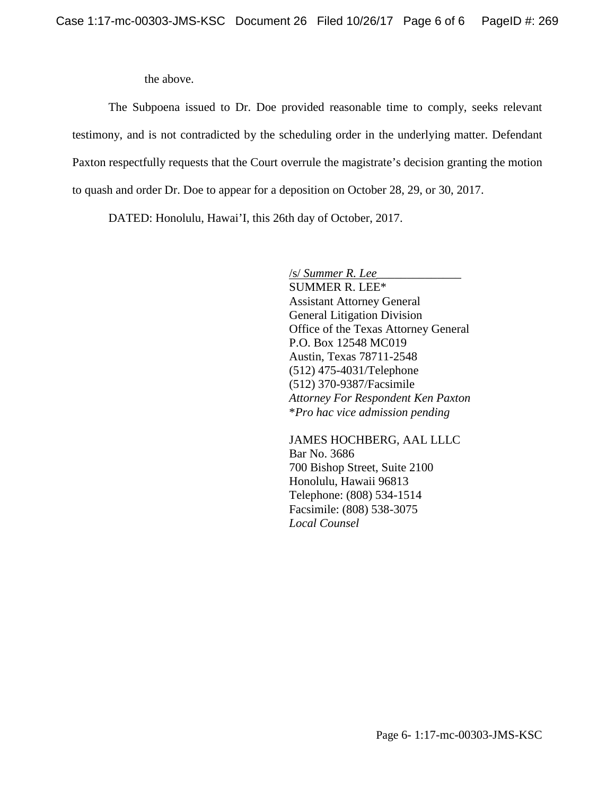the above.

The Subpoena issued to Dr. Doe provided reasonable time to comply, seeks relevant testimony, and is not contradicted by the scheduling order in the underlying matter. Defendant Paxton respectfully requests that the Court overrule the magistrate's decision granting the motion to quash and order Dr. Doe to appear for a deposition on October 28, 29, or 30, 2017.

DATED: Honolulu, Hawai'I, this 26th day of October, 2017.

/s/ *Summer R. Lee*\_\_\_\_\_\_\_\_\_\_\_\_\_\_ SUMMER R. LEE\* Assistant Attorney General General Litigation Division Office of the Texas Attorney General P.O. Box 12548 MC019 Austin, Texas 78711-2548 (512) 475-4031/Telephone (512) 370-9387/Facsimile *Attorney For Respondent Ken Paxton* \**Pro hac vice admission pending*

JAMES HOCHBERG, AAL LLLC Bar No. 3686 700 Bishop Street, Suite 2100 Honolulu, Hawaii 96813 Telephone: (808) 534-1514 Facsimile: (808) 538-3075 *Local Counsel*

Page 6- 1:17-mc-00303-JMS-KSC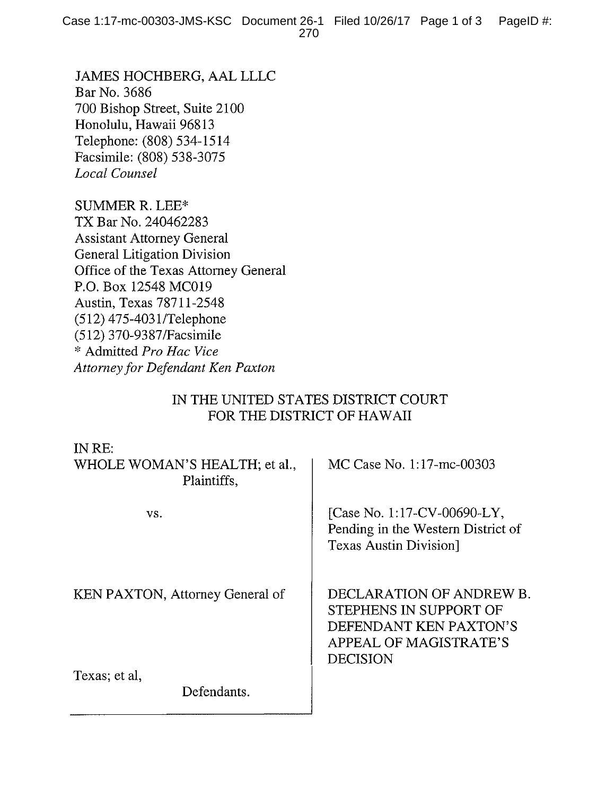JAMES HOCHBERG, AAL LLLC Bar No. 3686 700 Bishop Street, Suite 2100 Honolulu, Hawaii 96813 Telephone: (808) 534-1514 Facsimile: (808) 538-3075 Local Counsel

**SUMMER R. LEE\*** TX Bar No. 240462283 **Assistant Attorney General** General Litigation Division Office of the Texas Attorney General P.O. Box 12548 MC019 Austin, Texas 78711-2548 (512) 475-4031/Telephone (512) 370-9387/Facsimile \* Admitted Pro Hac Vice Attorney for Defendant Ken Paxton

## IN THE UNITED STATES DISTRICT COURT FOR THE DISTRICT OF HAWAII

| IN $RE:$<br>WHOLE WOMAN'S HEALTH; et al.,<br>Plaintiffs, | MC Case No. 1:17-mc-00303                                                                                                 |
|----------------------------------------------------------|---------------------------------------------------------------------------------------------------------------------------|
| VS.                                                      | [Case No. 1:17-CV-00690-LY,<br>Pending in the Western District of<br><b>Texas Austin Division</b> ]                       |
| <b>KEN PAXTON, Attorney General of</b>                   | DECLARATION OF ANDREW B.<br>STEPHENS IN SUPPORT OF<br>DEFENDANT KEN PAXTON'S<br>APPEAL OF MAGISTRATE'S<br><b>DECISION</b> |
| Texas; et al,<br>Defendants.                             |                                                                                                                           |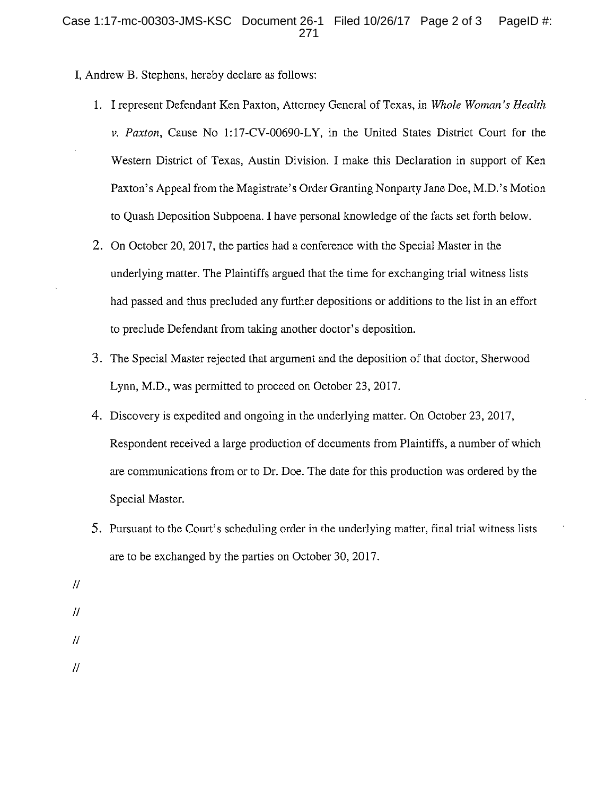- I, Andrew B. Stephens, hereby declare as follows:
	- 1. I represent Defendant Ken Paxton, Attorney General of Texas, in Whole Woman's Health v. Paxton, Cause No 1:17-CV-00690-LY, in the United States District Court for the Western District of Texas, Austin Division. I make this Declaration in support of Ken Paxton's Appeal from the Magistrate's Order Granting Nonparty Jane Doe, M.D.'s Motion to Quash Deposition Subpoena. I have personal knowledge of the facts set forth below.
	- 2. On October 20, 2017, the parties had a conference with the Special Master in the underlying matter. The Plaintiffs argued that the time for exchanging trial witness lists had passed and thus precluded any further depositions or additions to the list in an effort to preclude Defendant from taking another doctor's deposition.
	- 3. The Special Master rejected that argument and the deposition of that doctor, Sherwood Lynn, M.D., was permitted to proceed on October 23, 2017.
	- 4. Discovery is expedited and ongoing in the underlying matter. On October 23, 2017, Respondent received a large production of documents from Plaintiffs, a number of which are communications from or to Dr. Doe. The date for this production was ordered by the Special Master.
	- 5. Pursuant to the Court's scheduling order in the underlying matter, final trial witness lists are to be exchanged by the parties on October 30, 2017.
- $\mathcal{U}$
- $^{\prime\prime}$
- $\prime\prime$

 $\overline{\mu}$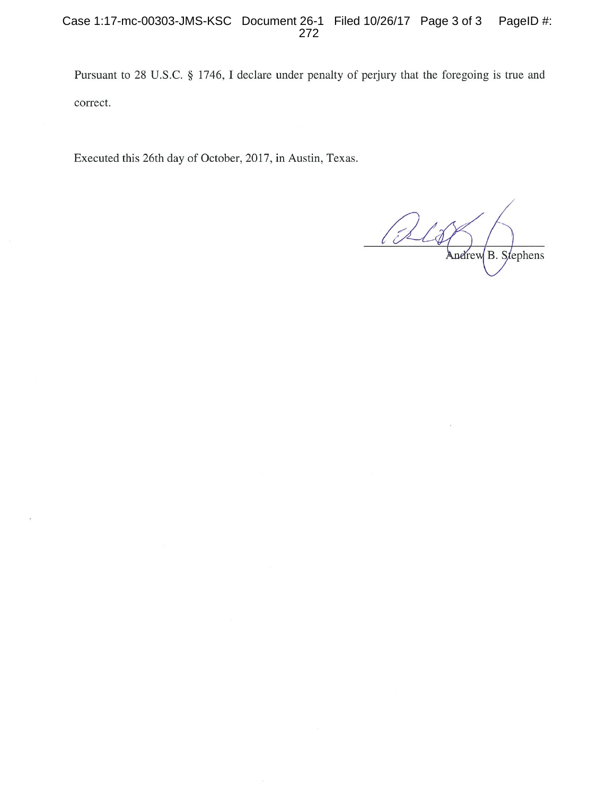Pursuant to 28 U.S.C. § 1746, I declare under penalty of perjury that the foregoing is true and correct.

Executed this 26th day of October, 2017, in Austin, Texas.

Pels Andrew B. Stephens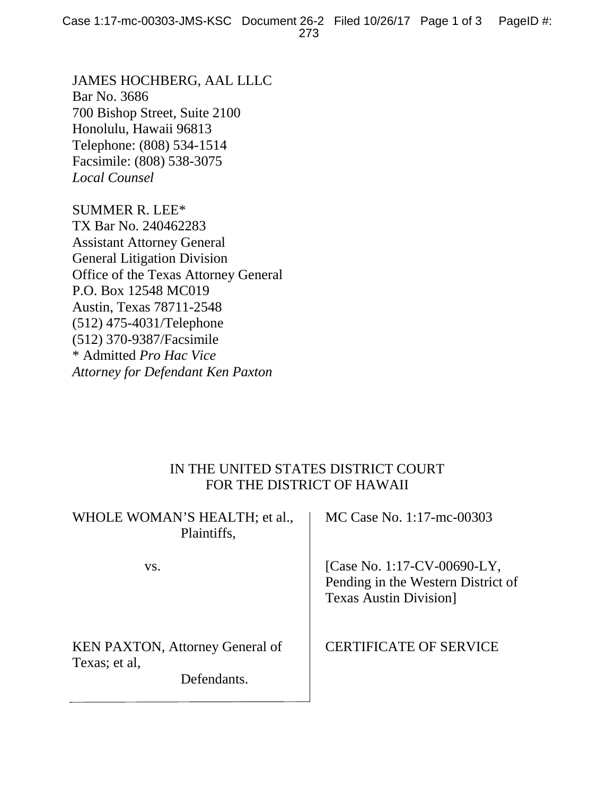JAMES HOCHBERG, AAL LLLC Bar No. 3686 700 Bishop Street, Suite 2100 Honolulu, Hawaii 96813 Telephone: (808) 534-1514 Facsimile: (808) 538-3075 *Local Counsel*

SUMMER R. LEE\* TX Bar No. 240462283 Assistant Attorney General General Litigation Division Office of the Texas Attorney General P.O. Box 12548 MC019 Austin, Texas 78711-2548 (512) 475-4031/Telephone (512) 370-9387/Facsimile \* Admitted *Pro Hac Vice Attorney for Defendant Ken Paxton*

## IN THE UNITED STATES DISTRICT COURT FOR THE DISTRICT OF HAWAII

|               | WHOLE WOMAN'S HEALTH; et al.,<br>Plaintiffs,          | MC Case No. 1:17-mc-00303                                                                           |
|---------------|-------------------------------------------------------|-----------------------------------------------------------------------------------------------------|
| VS.           |                                                       | [Case No. 1:17-CV-00690-LY,<br>Pending in the Western District of<br><b>Texas Austin Division</b> ] |
| Texas; et al, | <b>KEN PAXTON, Attorney General of</b><br>Defendants. | <b>CERTIFICATE OF SERVICE</b>                                                                       |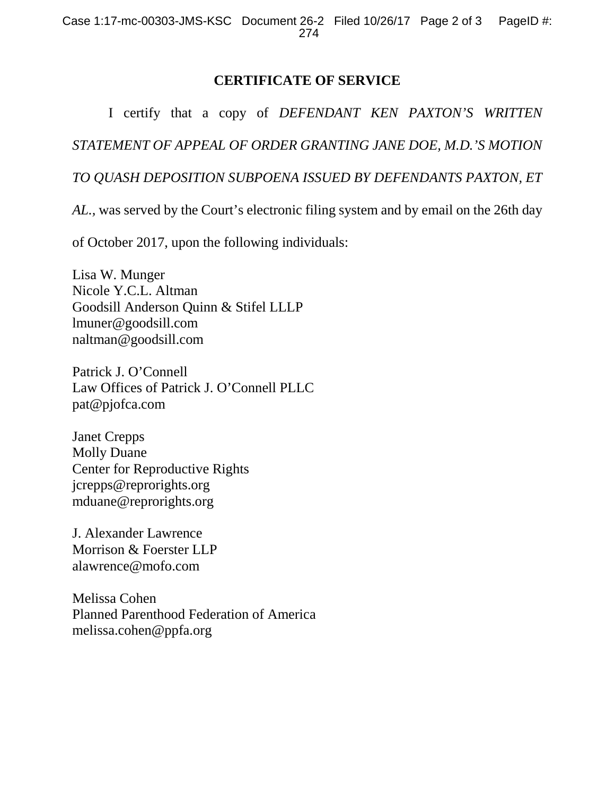# **CERTIFICATE OF SERVICE**

I certify that a copy of *DEFENDANT KEN PAXTON'S WRITTEN STATEMENT OF APPEAL OF ORDER GRANTING JANE DOE, M.D.'S MOTION TO QUASH DEPOSITION SUBPOENA ISSUED BY DEFENDANTS PAXTON, ET* 

*AL.,* was served by the Court's electronic filing system and by email on the 26th day

of October 2017, upon the following individuals:

Lisa W. Munger Nicole Y.C.L. Altman Goodsill Anderson Quinn & Stifel LLLP lmuner@goodsill.com naltman@goodsill.com

Patrick J. O'Connell Law Offices of Patrick J. O'Connell PLLC pat@pjofca.com

Janet Crepps Molly Duane Center for Reproductive Rights jcrepps@reprorights.org mduane@reprorights.org

J. Alexander Lawrence Morrison & Foerster LLP alawrence@mofo.com

Melissa Cohen Planned Parenthood Federation of America melissa.cohen@ppfa.org